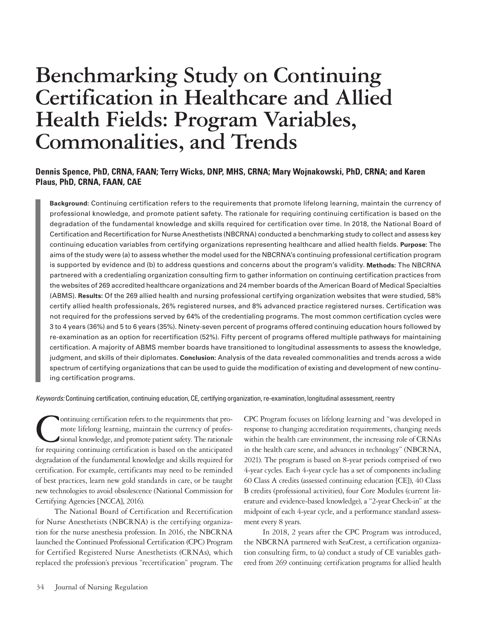# **Benchmarking Study on Continuing Certification in Healthcare and Allied Health Fields: Program Variables, Commonalities, and Trends**

# **Dennis Spence, PhD, CRNA, FAAN; Terry Wicks, DNP, MHS, CRNA; Mary Wojnakowski, PhD, CRNA; and Karen Plaus, PhD, CRNA, FAAN, CAE**

**Background:** Continuing certification refers to the requirements that promote lifelong learning, maintain the currency of professional knowledge, and promote patient safety. The rationale for requiring continuing certification is based on the degradation of the fundamental knowledge and skills required for certification over time. In 2018, the National Board of Certification and Recertification for Nurse Anesthetists (NBCRNA) conducted a benchmarking study to collect and assess key continuing education variables from certifying organizations representing healthcare and allied health fields. **Purpose:** The aims of the study were (a) to assess whether the model used for the NBCRNA's continuing professional certification program is supported by evidence and (b) to address questions and concerns about the program's validity. **Methods:** The NBCRNA partnered with a credentialing organization consulting firm to gather information on continuing certification practices from the websites of 269 accredited healthcare organizations and 24 member boards of the American Board of Medical Specialties (ABMS). **Results:** Of the 269 allied health and nursing professional certifying organization websites that were studied, 58% certify allied health professionals, 26% registered nurses, and 8% advanced practice registered nurses. Certification was not required for the professions served by 64% of the credentialing programs. The most common certification cycles were 3 to 4 years (36%) and 5 to 6 years (35%). Ninety-seven percent of programs offered continuing education hours followed by re-examination as an option for recertification (52%). Fifty percent of programs offered multiple pathways for maintaining certification. A majority of ABMS member boards have transitioned to longitudinal assessments to assess the knowledge, judgment, and skills of their diplomates. **Conclusion:** Analysis of the data revealed commonalities and trends across a wide spectrum of certifying organizations that can be used to guide the modification of existing and development of new continuing certification programs.

*Keywords:* Continuing certification, continuing education, CE, certifying organization, re-examination, longitudinal assessment, reentry

ontinuing certification refers to the requirements that promote lifelong learning, maintain the currency of professional knowledge, and promote patient safety. The rationale for requiring continuing certification is based on the anticipated degradation of the fundamental knowledge and skills required for certification. For example, certificants may need to be reminded of best practices, learn new gold standards in care, or be taught new technologies to avoid obsolescence (National Commission for Certifying Agencies [NCCA], 2016).

The National Board of Certification and Recertification for Nurse Anesthetists (NBCRNA) is the certifying organization for the nurse anesthesia profession. In 2016, the NBCRNA launched the Continued Professional Certification (CPC) Program for Certified Registered Nurse Anesthetists (CRNAs), which replaced the profession's previous "recertification" program. The CPC Program focuses on lifelong learning and "was developed in response to changing accreditation requirements, changing needs within the health care environment, the increasing role of CRNAs in the health care scene, and advances in technology" (NBCRNA, 2021). The program is based on 8-year periods comprised of two 4-year cycles. Each 4-year cycle has a set of components including 60 Class A credits (assessed continuing education [CE]), 40 Class B credits (professional activities), four Core Modules (current literature and evidence-based knowledge), a "2-year Check-in" at the midpoint of each 4-year cycle, and a performance standard assessment every 8 years.

In 2018, 2 years after the CPC Program was introduced, the NBCRNA partnered with SeaCrest, a certification organization consulting firm, to (a) conduct a study of CE variables gathered from 269 continuing certification programs for allied health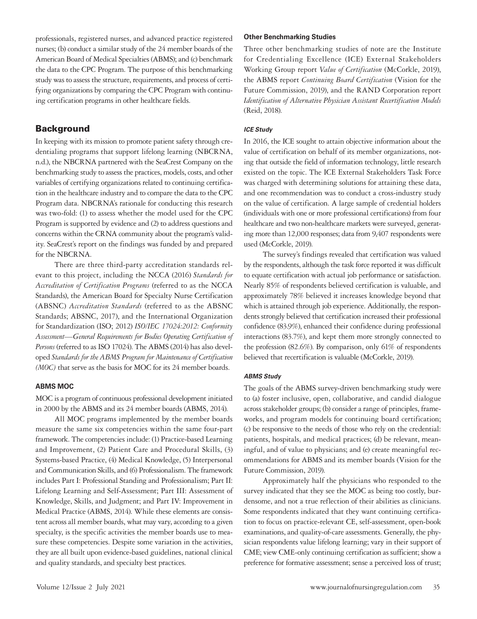professionals, registered nurses, and advanced practice registered nurses; (b) conduct a similar study of the 24 member boards of the American Board of Medical Specialties (ABMS); and (c) benchmark the data to the CPC Program. The purpose of this benchmarking study was to assess the structure, requirements, and process of certifying organizations by comparing the CPC Program with continuing certification programs in other healthcare fields.

# **Background**

In keeping with its mission to promote patient safety through credentialing programs that support lifelong learning (NBCRNA, n.d.), the NBCRNA partnered with the SeaCrest Company on the benchmarking study to assess the practices, models, costs, and other variables of certifying organizations related to continuing certification in the healthcare industry and to compare the data to the CPC Program data. NBCRNA's rationale for conducting this research was two-fold: (1) to assess whether the model used for the CPC Program is supported by evidence and (2) to address questions and concerns within the CRNA community about the program's validity. SeaCrest's report on the findings was funded by and prepared for the NBCRNA.

There are three third-party accreditation standards relevant to this project, including the NCCA (2016) *Standards for Accreditation of Certification Programs* (referred to as the NCCA Standards), the American Board for Specialty Nurse Certification (ABSNC) *Accreditation Standards* (referred to as the ABSNC Standards; ABSNC, 2017), and the International Organization for Standardization (ISO; 2012) *ISO/IEC 17024:2012: Conformity Assessment—General Requirements for Bodies Operating Certification of Persons* (referred to as ISO 17024). The ABMS (2014) has also developed *Standards for the ABMS Program for Maintenance of Certification (MOC)* that serve as the basis for MOC for its 24 member boards.

## **ABMS MOC**

MOC is a program of continuous professional development initiated in 2000 by the ABMS and its 24 member boards (ABMS, 2014).

All MOC programs implemented by the member boards measure the same six competencies within the same four-part framework. The competencies include: (1) Practice-based Learning and Improvement, (2) Patient Care and Procedural Skills, (3) Systems-based Practice, (4) Medical Knowledge, (5) Interpersonal and Communication Skills, and (6) Professionalism. The framework includes Part I: Professional Standing and Professionalism; Part II: Lifelong Learning and Self-Assessment; Part III: Assessment of Knowledge, Skills, and Judgment; and Part IV: Improvement in Medical Practice (ABMS, 2014). While these elements are consistent across all member boards, what may vary, according to a given specialty, is the specific activities the member boards use to measure these competencies. Despite some variation in the activities, they are all built upon evidence-based guidelines, national clinical and quality standards, and specialty best practices.

#### **Other Benchmarking Studies**

Three other benchmarking studies of note are the Institute for Credentialing Excellence (ICE) External Stakeholders Working Group report *Value of Certification* (McCorkle, 2019), the ABMS report *Continuing Board Certification* (Vision for the Future Commission, 2019), and the RAND Corporation report *Identification of Alternative Physician Assistant Recertification Models* (Reid, 2018).

#### *ICE Study*

In 2016, the ICE sought to attain objective information about the value of certification on behalf of its member organizations, noting that outside the field of information technology, little research existed on the topic. The ICE External Stakeholders Task Force was charged with determining solutions for attaining these data, and one recommendation was to conduct a cross-industry study on the value of certification. A large sample of credential holders (individuals with one or more professional certifications) from four healthcare and two non-healthcare markets were surveyed, generating more than 12,000 responses; data from 9,407 respondents were used (McCorkle, 2019).

The survey's findings revealed that certification was valued by the respondents, although the task force reported it was difficult to equate certification with actual job performance or satisfaction. Nearly 85% of respondents believed certification is valuable, and approximately 78% believed it increases knowledge beyond that which is attained through job experience. Additionally, the respondents strongly believed that certification increased their professional confidence (83.9%), enhanced their confidence during professional interactions (83.7%), and kept them more strongly connected to the profession (82.6%). By comparison, only 61% of respondents believed that recertification is valuable (McCorkle, 2019).

#### *ABMS Study*

The goals of the ABMS survey-driven benchmarking study were to (a) foster inclusive, open, collaborative, and candid dialogue across stakeholder groups; (b) consider a range of principles, frameworks, and program models for continuing board certification; (c) be responsive to the needs of those who rely on the credential: patients, hospitals, and medical practices; (d) be relevant, meaningful, and of value to physicians; and (e) create meaningful recommendations for ABMS and its member boards (Vision for the Future Commission, 2019).

Approximately half the physicians who responded to the survey indicated that they see the MOC as being too costly, burdensome, and not a true reflection of their abilities as clinicians. Some respondents indicated that they want continuing certification to focus on practice-relevant CE, self-assessment, open-book examinations, and quality-of-care assessments. Generally, the physician respondents value lifelong learning; vary in their support of CME; view CME-only continuing certification as sufficient; show a preference for formative assessment; sense a perceived loss of trust;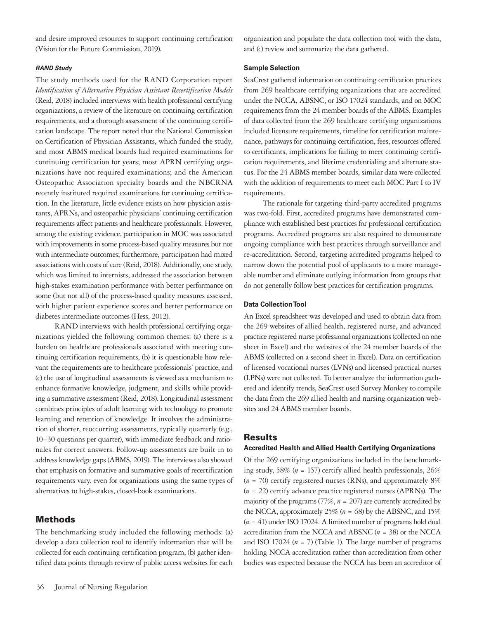and desire improved resources to support continuing certification (Vision for the Future Commission, 2019).

#### *RAND Study*

The study methods used for the RAND Corporation report *Identification of Alternative Physician Assistant Recertification Models* (Reid, 2018) included interviews with health professional certifying organizations, a review of the literature on continuing certification requirements, and a thorough assessment of the continuing certification landscape. The report noted that the National Commission on Certification of Physician Assistants, which funded the study, and most ABMS medical boards had required examinations for continuing certification for years; most APRN certifying organizations have not required examinations; and the American Osteopathic Association specialty boards and the NBCRNA recently instituted required examinations for continuing certification. In the literature, little evidence exists on how physician assistants, APRNs, and osteopathic physicians' continuing certification requirements affect patients and healthcare professionals. However, among the existing evidence, participation in MOC was associated with improvements in some process-based quality measures but not with intermediate outcomes; furthermore, participation had mixed associations with costs of care (Reid, 2018). Additionally, one study, which was limited to internists, addressed the association between high-stakes examination performance with better performance on some (but not all) of the process-based quality measures assessed, with higher patient experience scores and better performance on diabetes intermediate outcomes (Hess, 2012).

RAND interviews with health professional certifying organizations yielded the following common themes: (a) there is a burden on healthcare professionals associated with meeting continuing certification requirements, (b) it is questionable how relevant the requirements are to healthcare professionals' practice, and (c) the use of longitudinal assessments is viewed as a mechanism to enhance formative knowledge, judgment, and skills while providing a summative assessment (Reid, 2018). Longitudinal assessment combines principles of adult learning with technology to promote learning and retention of knowledge. It involves the administration of shorter, reoccurring assessments, typically quarterly (e.g., 10–30 questions per quarter), with immediate feedback and rationales for correct answers. Follow-up assessments are built in to address knowledge gaps (ABMS, 2019). The interviews also showed that emphasis on formative and summative goals of recertification requirements vary, even for organizations using the same types of alternatives to high-stakes, closed-book examinations.

## Methods

The benchmarking study included the following methods: (a) develop a data collection tool to identify information that will be collected for each continuing certification program, (b) gather identified data points through review of public access websites for each organization and populate the data collection tool with the data, and (c) review and summarize the data gathered.

#### **Sample Selection**

SeaCrest gathered information on continuing certification practices from 269 healthcare certifying organizations that are accredited under the NCCA, ABSNC, or ISO 17024 standards, and on MOC requirements from the 24 member boards of the ABMS. Examples of data collected from the 269 healthcare certifying organizations included licensure requirements, timeline for certification maintenance, pathways for continuing certification, fees, resources offered to certificants, implications for failing to meet continuing certification requirements, and lifetime credentialing and alternate status. For the 24 ABMS member boards, similar data were collected with the addition of requirements to meet each MOC Part I to IV requirements.

The rationale for targeting third-party accredited programs was two-fold. First, accredited programs have demonstrated compliance with established best practices for professional certification programs. Accredited programs are also required to demonstrate ongoing compliance with best practices through surveillance and re-accreditation. Second, targeting accredited programs helped to narrow down the potential pool of applicants to a more manageable number and eliminate outlying information from groups that do not generally follow best practices for certification programs.

#### **Data Collection Tool**

An Excel spreadsheet was developed and used to obtain data from the 269 websites of allied health, registered nurse, and advanced practice registered nurse professional organizations (collected on one sheet in Excel) and the websites of the 24 member boards of the ABMS (collected on a second sheet in Excel). Data on certification of licensed vocational nurses (LVNs) and licensed practical nurses (LPNs) were not collected. To better analyze the information gathered and identify trends, SeaCrest used Survey Monkey to compile the data from the 269 allied health and nursing organization websites and 24 ABMS member boards.

#### Results

#### **Accredited Health and Allied Health Certifying Organizations**

Of the 269 certifying organizations included in the benchmarking study, 58% (*n* = 157) certify allied health professionals, 26%  $(n = 70)$  certify registered nurses (RNs), and approximately 8% (*n* = 22) certify advance practice registered nurses (APRNs). The majority of the programs (77%, *n* = 207) are currently accredited by the NCCA, approximately 25% (*n* = 68) by the ABSNC, and 15% (*n* = 41) under ISO 17024. A limited number of programs hold dual accreditation from the NCCA and ABSNC (*n* = 38) or the NCCA and ISO 17024 (*n* = 7) (Table 1). The large number of programs holding NCCA accreditation rather than accreditation from other bodies was expected because the NCCA has been an accreditor of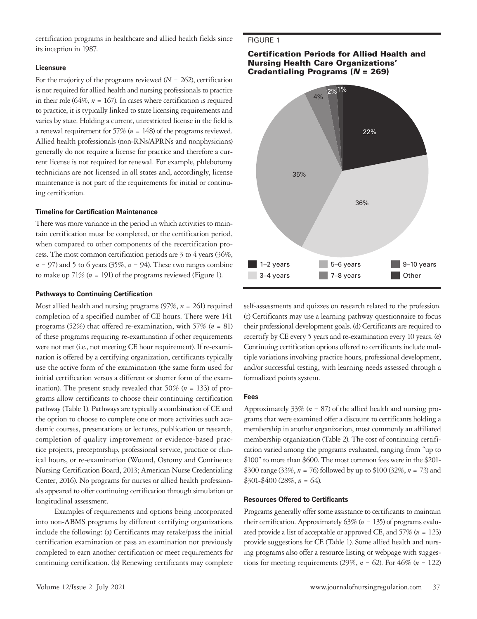certification programs in healthcare and allied health fields since its inception in 1987.

#### **Licensure**

For the majority of the programs reviewed  $(N = 262)$ , certification is not required for allied health and nursing professionals to practice in their role (64%,  $n = 167$ ). In cases where certification is required to practice, it is typically linked to state licensing requirements and varies by state. Holding a current, unrestricted license in the field is a renewal requirement for 57% (*n* = 148) of the programs reviewed. Allied health professionals (non-RNs/APRNs and nonphysicians) generally do not require a license for practice and therefore a current license is not required for renewal. For example, phlebotomy technicians are not licensed in all states and, accordingly, license maintenance is not part of the requirements for initial or continuing certification.

#### **Timeline for Certification Maintenance**

There was more variance in the period in which activities to maintain certification must be completed, or the certification period, when compared to other components of the recertification process. The most common certification periods are 3 to 4 years (36%,  $n = 97$ ) and 5 to 6 years (35%,  $n = 94$ ). These two ranges combine to make up  $71\%$  ( $n = 191$ ) of the programs reviewed (Figure 1).

#### **Pathways to Continuing Certification**

Most allied health and nursing programs (97%, *n* = 261) required completion of a specified number of CE hours. There were 141 programs (52%) that offered re-examination, with 57% (*n* = 81) of these programs requiring re-examination if other requirements were not met (i.e., not meeting CE hour requirement). If re-examination is offered by a certifying organization, certificants typically use the active form of the examination (the same form used for initial certification versus a different or shorter form of the examination). The present study revealed that 50% (*n* = 133) of programs allow certificants to choose their continuing certification pathway (Table 1). Pathways are typically a combination of CE and the option to choose to complete one or more activities such academic courses, presentations or lectures, publication or research, completion of quality improvement or evidence-based practice projects, preceptorship, professional service, practice or clinical hours, or re-examination (Wound, Ostomy and Continence Nursing Certification Board, 2013; American Nurse Credentialing Center, 2016). No programs for nurses or allied health professionals appeared to offer continuing certification through simulation or longitudinal assessment.

Examples of requirements and options being incorporated into non-ABMS programs by different certifying organizations include the following: (a) Certificants may retake/pass the initial certification examination or pass an examination not previously completed to earn another certification or meet requirements for continuing certification. (b) Renewing certificants may complete

## FIGURE 1

#### Certification Periods for Allied Health and Nursing Health Care Organizations' Credentialing Programs (*N* = 269)



self-assessments and quizzes on research related to the profession. (c) Certificants may use a learning pathway questionnaire to focus their professional development goals. (d) Certificants are required to recertify by CE every 5 years and re-examination every 10 years. (e) Continuing certification options offered to certificants include multiple variations involving practice hours, professional development, and/or successful testing, with learning needs assessed through a formalized points system.

#### **Fees**

Approximately 33% (*n* = 87) of the allied health and nursing programs that were examined offer a discount to certificants holding a membership in another organization, most commonly an affiliated membership organization (Table 2). The cost of continuing certification varied among the programs evaluated, ranging from "up to \$100" to more than \$600. The most common fees were in the \$201- \$300 range (33%,  $n = 76$ ) followed by up to \$100 (32%,  $n = 73$ ) and  $$301-\$400 (28\%, n = 64).$ 

#### **Resources Offered to Certificants**

Programs generally offer some assistance to certificants to maintain their certification. Approximately  $63\%$  ( $n = 135$ ) of programs evaluated provide a list of acceptable or approved CE, and 57% (*n* = 123) provide suggestions for CE (Table 1). Some allied health and nursing programs also offer a resource listing or webpage with suggestions for meeting requirements (29%,  $n = 62$ ). For 46% ( $n = 122$ )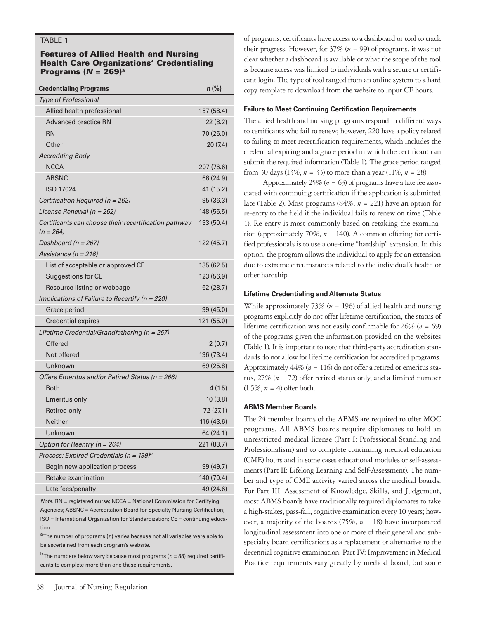## TABLE 1

## Features of Allied Health and Nursing Health Care Organizations' Credentialing Programs (*N* = 269)a

| <b>Credentialing Programs</b>                                        | $n$ (%)    |
|----------------------------------------------------------------------|------------|
| <b>Type of Professional</b>                                          |            |
| Allied health professional                                           | 157 (58.4) |
| Advanced practice RN                                                 | 22(8.2)    |
| <b>RN</b>                                                            | 70 (26.0)  |
| Other                                                                | 20 (7.4)   |
| <b>Accrediting Body</b>                                              |            |
| <b>NCCA</b>                                                          | 207 (76.6) |
| <b>ABSNC</b>                                                         | 68 (24.9)  |
| <b>ISO 17024</b>                                                     | 41 (15.2)  |
| Certification Required (n = 262)                                     | 95 (36.3)  |
| License Renewal (n = 262)                                            | 148 (56.5) |
| Certificants can choose their recertification pathway<br>$(n = 264)$ | 133 (50.4) |
| Dashboard ( $n = 267$ )                                              | 122 (45.7) |
| Assistance (n = 216)                                                 |            |
| List of acceptable or approved CE                                    | 135 (62.5) |
| Suggestions for CE                                                   | 123 (56.9) |
| Resource listing or webpage                                          | 62 (28.7)  |
| Implications of Failure to Recertify ( $n = 220$ )                   |            |
| Grace period                                                         | 99 (45.0)  |
| Credential expires                                                   | 121 (55.0) |
| Lifetime Credential/Grandfathering (n = 267)                         |            |
| Offered                                                              | 2(0.7)     |
| Not offered                                                          | 196 (73.4) |
| Unknown                                                              | 69 (25.8)  |
| Offers Emeritus and/or Retired Status (n = 266)                      |            |
| <b>Both</b>                                                          | 4(1.5)     |
| <b>Emeritus only</b>                                                 | 10(3.8)    |
| Retired only                                                         | 72 (27.1)  |
| <b>Neither</b>                                                       | 116 (43.6) |
| Unknown                                                              | 64 (24.1)  |
| Option for Reentry ( $n = 264$ )                                     | 221 (83.7) |
| Process: Expired Credentials (n = $199$ ) <sup>b</sup>               |            |
| Begin new application process                                        | 99 (49.7)  |
| Retake examination                                                   | 140 (70.4) |
| Late fees/penalty                                                    | 49 (24.6)  |

*Note.* RN = registered nurse; NCCA = National Commission for Certifying Agencies; ABSNC = Accreditation Board for Specialty Nursing Certification; ISO = International Organization for Standardization; CE = continuing education.

<sup>a</sup> The number of programs (n) varies because not all variables were able to be ascertained from each program's website.

b The numbers below vary because most programs (*n* = 88) required certificants to complete more than one these requirements.

of programs, certificants have access to a dashboard or tool to track their progress. However, for 37% (*n* = 99) of programs, it was not clear whether a dashboard is available or what the scope of the tool is because access was limited to individuals with a secure or certificant login. The type of tool ranged from an online system to a hard copy template to download from the website to input CE hours.

### **Failure to Meet Continuing Certification Requirements**

The allied health and nursing programs respond in different ways to certificants who fail to renew; however, 220 have a policy related to failing to meet recertification requirements, which includes the credential expiring and a grace period in which the certificant can submit the required information (Table 1). The grace period ranged from 30 days (13%,  $n = 33$ ) to more than a year (11%,  $n = 28$ ).

Approximately  $25\%$  ( $n = 63$ ) of programs have a late fee associated with continuing certification if the application is submitted late (Table 2). Most programs (84%, *n* = 221) have an option for re-entry to the field if the individual fails to renew on time (Table 1). Re-entry is most commonly based on retaking the examination (approximately 70%, *n* = 140). A common offering for certified professionals is to use a one-time "hardship" extension. In this option, the program allows the individual to apply for an extension due to extreme circumstances related to the individual's health or other hardship.

#### **Lifetime Credentialing and Alternate Status**

While approximately 73% (*n* = 196) of allied health and nursing programs explicitly do not offer lifetime certification, the status of lifetime certification was not easily confirmable for 26% (*n* = 69) of the programs given the information provided on the websites (Table 1). It is important to note that third-party accreditation standards do not allow for lifetime certification for accredited programs. Approximately  $44\%$  ( $n = 116$ ) do not offer a retired or emeritus status, 27% (*n* = 72) offer retired status only, and a limited number  $(1.5\%, n = 4)$  offer both.

#### **ABMS Member Boards**

The 24 member boards of the ABMS are required to offer MOC programs. All ABMS boards require diplomates to hold an unrestricted medical license (Part I: Professional Standing and Professionalism) and to complete continuing medical education (CME) hours and in some cases educational modules or self-assessments (Part II: Lifelong Learning and Self-Assessment). The number and type of CME activity varied across the medical boards. For Part III: Assessment of Knowledge, Skills, and Judgement, most ABMS boards have traditionally required diplomates to take a high-stakes, pass-fail, cognitive examination every 10 years; however, a majority of the boards (75%, *n* = 18) have incorporated longitudinal assessment into one or more of their general and subspecialty board certifications as a replacement or alternative to the decennial cognitive examination. Part IV: Improvement in Medical Practice requirements vary greatly by medical board, but some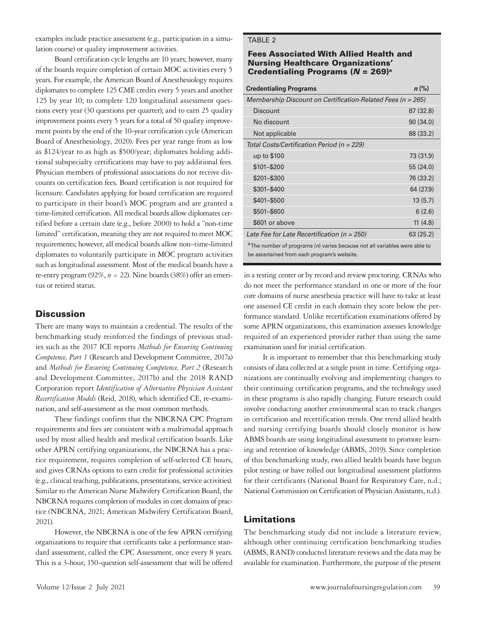examples include practice assessment (e.g., participation in a simulation course) or quality improvement activities.

Board certification cycle lengths are 10 years; however, many of the boards require completion of certain MOC activities every 5 years. For example, the American Board of Anesthesiology requires diplomates to complete 125 CME credits every 5 years and another 125 by year 10; to complete 120 longitudinal assessment questions every year (30 questions per quarter); and to earn 25 quality improvement points every 5 years for a total of 50 quality improvement points by the end of the 10-year certification cycle (American Board of Anesthesiology, 2020). Fees per year range from as low as \$124/year to as high as \$500/year; diplomates holding additional subspecialty certifications may have to pay additional fees. Physician members of professional associations do not receive discounts on certification fees. Board certification is not required for licensure. Candidates applying for board certification are required to participate in their board's MOC program and are granted a time-limited certification. All medical boards allow diplomates certified before a certain date (e.g., before 2000) to hold a "non-time limited" certification, meaning they are not required to meet MOC requirements; however, all medical boards allow non–time-limited diplomates to voluntarily participate in MOC program activities such as longitudinal assessment. Most of the medical boards have a re-entry program (92%, *n* = 22). Nine boards (38%) offer an emeritus or retired status.

# **Discussion**

There are many ways to maintain a credential. The results of the benchmarking study reinforced the findings of previous studies such as the 2017 ICE reports *Methods for Ensuring Continuing Competence, Part 1* (Research and Development Committee, 2017a) and *Methods for Ensuring Continuing Competence, Part 2* (Research and Development Committee, 2017b) and the 2018 RAND Corporation report *Identification of Alternative Physician Assistant Recertification Models* (Reid, 2018), which identified CE, re-examination, and self-assessment as the most common methods.

These findings confirm that the NBCRNA CPC Program requirements and fees are consistent with a multimodal approach used by most allied health and medical certification boards. Like other APRN certifying organizations, the NBCRNA has a practice requirement, requires completion of self-selected CE hours, and gives CRNAs options to earn credit for professional activities (e.g., clinical teaching, publications, presentations, service activities). Similar to the American Nurse Midwifery Certification Board, the NBCRNA requires completion of modules in core domains of practice (NBCRNA, 2021; American Midwifery Certification Board, 2021).

However, the NBCRNA is one of the few APRN certifying organizations to require that certificants take a performance standard assessment, called the CPC Assessment, once every 8 years. This is a 3-hour, 150-question self-assessment that will be offered

## TABLE 2

#### Fees Associated With Allied Health and Nursing Healthcare Organizations' Credentialing Programs (*N* = 269)a

| <b>Credentialing Programs</b>                                                                                                        | $n$ (%)   |
|--------------------------------------------------------------------------------------------------------------------------------------|-----------|
| Membership Discount on Certification-Related Fees (n = 265)                                                                          |           |
| Discount                                                                                                                             | 87 (32.8) |
| No discount                                                                                                                          | 90(34.0)  |
| Not applicable                                                                                                                       | 88 (33.2) |
| Total Costs/Certification Period (n = 229)                                                                                           |           |
| up to \$100                                                                                                                          | 73 (31.9) |
| \$101-\$200                                                                                                                          | 55 (24.0) |
| \$201-\$300                                                                                                                          | 76 (33.2) |
| \$301-\$400                                                                                                                          | 64 (27.9) |
| \$401-\$500                                                                                                                          | 13(5.7)   |
| \$501-\$600                                                                                                                          | 6(2.6)    |
| \$601 or above                                                                                                                       | 11(4.8)   |
| Late Fee for Late Recertification (n = 250)                                                                                          | 63(25.2)  |
| <sup>a</sup> The number of programs (n) varies because not all variables were able to<br>be ascertained from each program's website. |           |

in a testing center or by record and review proctoring. CRNAs who do not meet the performance standard in one or more of the four core domains of nurse anesthesia practice will have to take at least one assessed CE credit in each domain they score below the performance standard. Unlike recertification examinations offered by some APRN organizations, this examination assesses knowledge required of an experienced provider rather than using the same examination used for initial certification.

It is important to remember that this benchmarking study consists of data collected at a single point in time. Certifying organizations are continually evolving and implementing changes to their continuing certification programs, and the technology used in these programs is also rapidly changing. Future research could involve conducting another environmental scan to track changes in certification and recertification trends. One trend allied health and nursing certifying boards should closely monitor is how ABMS boards are using longitudinal assessment to promote learning and retention of knowledge (ABMS, 2019). Since completion of this benchmarking study, two allied health boards have begun pilot testing or have rolled out longitudinal assessment platforms for their certificants (National Board for Respiratory Care, n.d.; National Commission on Certification of Physician Assistants, n.d.).

# Limitations

The benchmarking study did not include a literature review, although other continuing certification benchmarking studies (ABMS, RAND) conducted literature reviews and the data may be available for examination. Furthermore, the purpose of the present